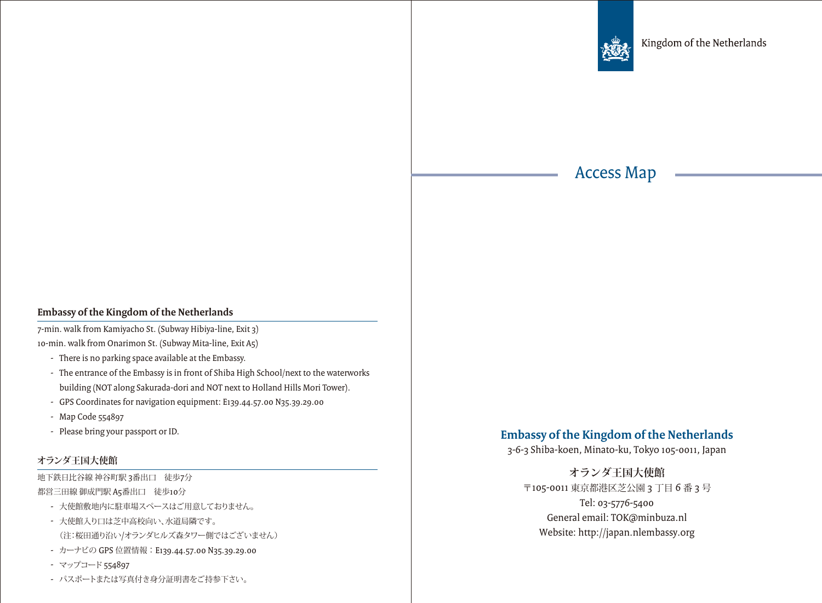

## Access Map

## **Embassy of the Kingdom of the Netherlands**

7-min. walk from Kamiyacho St. (Subway Hibiya-line, Exit 3) 10-min. walk from Onarimon St. (Subway Mita-line, Exit A5)

- There is no parking space available at the Embassy.
- The entrance of the Embassy is in front of Shiba High School/next to the waterworks building (NOT along Sakurada-dori and NOT next to Holland Hills Mori Tower).
- GPS Coordinates for navigation equipment: E139.44.57.00 N35.39.29.00
- Map Code 554897
- Please bring your passport or ID.

## **オランダ王国大使館**

地下鉄日比谷線 神谷町駅 3番出口 徒歩7分

都営三田線 御成門駅 A5番出口 徒歩10分

- 大使館敷地内に駐車場スペースはご用意しておりません。
- 大使館入り口は芝中高校向い、水道局隣です。 (注:桜田通り沿い/オランダヒルズ森タワー側ではございません)
- カーナビの GPS 位置情報:E139.44.57.00 N35.39.29.00
- マップコード 554897
- パスポートまたは写真付き身分証明書をご持参下さい。

## **Embassy of the Kingdom of the Netherlands**

3-6-3 Shiba-koen, Minato-ku, Tokyo 105-0011, Japan

**オランダ王国大使館** 〒105-0011 東京都港区芝公園 3 丁目 6 番 3 号 Tel: 03-5776-5400 General email: TOK@minbuza.nl Website: http://japan.nlembassy.org